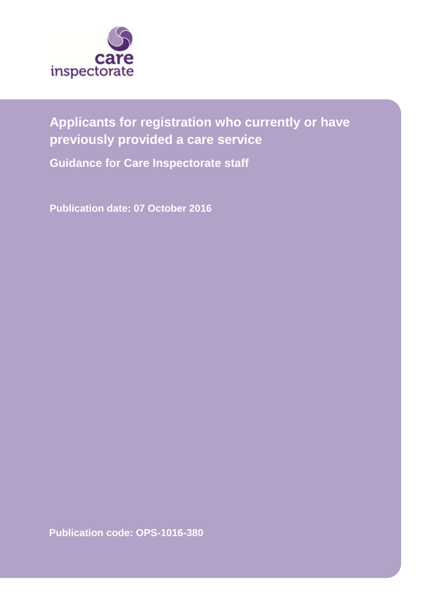

# **Applicants for registration who currently or have previously provided a care service**

**Guidance for Care Inspectorate staff**

**Publication date: 07 October 2016**

**Publication code: OPS-1016-380**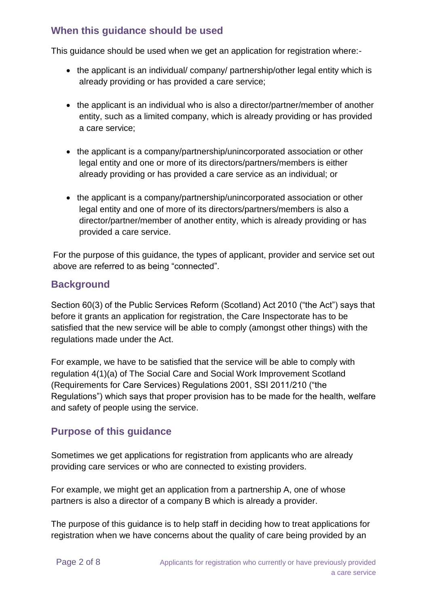#### **When this guidance should be used**

This guidance should be used when we get an application for registration where:-

- the applicant is an individual/ company/ partnership/other legal entity which is already providing or has provided a care service;
- the applicant is an individual who is also a director/partner/member of another entity, such as a limited company, which is already providing or has provided a care service;
- the applicant is a company/partnership/unincorporated association or other legal entity and one or more of its directors/partners/members is either already providing or has provided a care service as an individual; or
- the applicant is a company/partnership/unincorporated association or other legal entity and one of more of its directors/partners/members is also a director/partner/member of another entity, which is already providing or has provided a care service.

For the purpose of this guidance, the types of applicant, provider and service set out above are referred to as being "connected".

## **Background**

Section 60(3) of the Public Services Reform (Scotland) Act 2010 ("the Act") says that before it grants an application for registration, the Care Inspectorate has to be satisfied that the new service will be able to comply (amongst other things) with the regulations made under the Act.

For example, we have to be satisfied that the service will be able to comply with regulation 4(1)(a) of The Social Care and Social Work Improvement Scotland (Requirements for Care Services) Regulations 2001, SSI 2011/210 ("the Regulations") which says that proper provision has to be made for the health, welfare and safety of people using the service.

# **Purpose of this guidance**

Sometimes we get applications for registration from applicants who are already providing care services or who are connected to existing providers.

For example, we might get an application from a partnership A, one of whose partners is also a director of a company B which is already a provider.

The purpose of this guidance is to help staff in deciding how to treat applications for registration when we have concerns about the quality of care being provided by an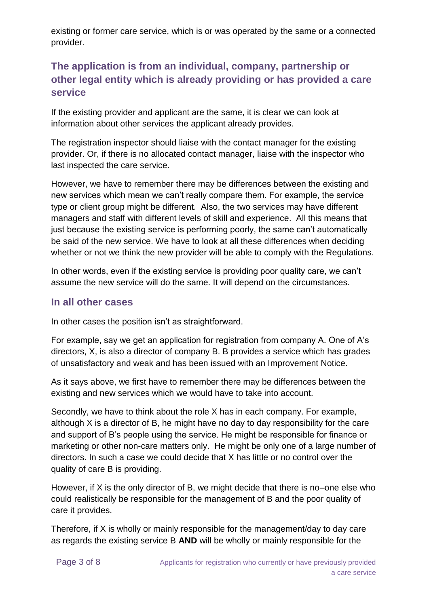existing or former care service, which is or was operated by the same or a connected provider.

# **The application is from an individual, company, partnership or other legal entity which is already providing or has provided a care service**

If the existing provider and applicant are the same, it is clear we can look at information about other services the applicant already provides.

The registration inspector should liaise with the contact manager for the existing provider. Or, if there is no allocated contact manager, liaise with the inspector who last inspected the care service.

However, we have to remember there may be differences between the existing and new services which mean we can't really compare them. For example, the service type or client group might be different. Also, the two services may have different managers and staff with different levels of skill and experience. All this means that just because the existing service is performing poorly, the same can't automatically be said of the new service. We have to look at all these differences when deciding whether or not we think the new provider will be able to comply with the Regulations.

In other words, even if the existing service is providing poor quality care, we can't assume the new service will do the same. It will depend on the circumstances.

#### **In all other cases**

In other cases the position isn't as straightforward.

For example, say we get an application for registration from company A. One of A's directors, X, is also a director of company B. B provides a service which has grades of unsatisfactory and weak and has been issued with an Improvement Notice.

As it says above, we first have to remember there may be differences between the existing and new services which we would have to take into account.

Secondly, we have to think about the role X has in each company. For example, although X is a director of B, he might have no day to day responsibility for the care and support of B's people using the service. He might be responsible for finance or marketing or other non-care matters only. He might be only one of a large number of directors. In such a case we could decide that X has little or no control over the quality of care B is providing.

However, if X is the only director of B, we might decide that there is no–one else who could realistically be responsible for the management of B and the poor quality of care it provides.

Therefore, if X is wholly or mainly responsible for the management/day to day care as regards the existing service B **AND** will be wholly or mainly responsible for the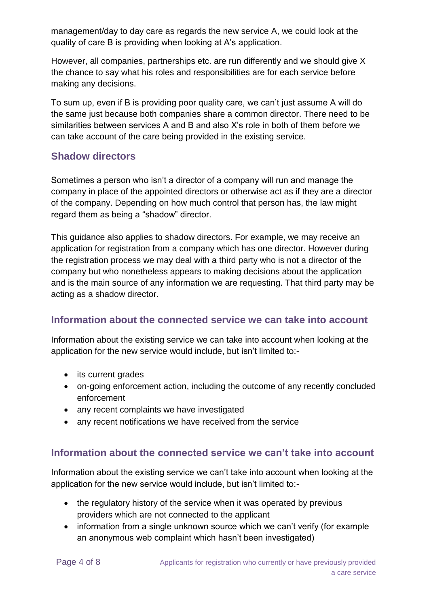management/day to day care as regards the new service A, we could look at the quality of care B is providing when looking at A's application.

However, all companies, partnerships etc. are run differently and we should give X the chance to say what his roles and responsibilities are for each service before making any decisions.

To sum up, even if B is providing poor quality care, we can't just assume A will do the same just because both companies share a common director. There need to be similarities between services A and B and also X's role in both of them before we can take account of the care being provided in the existing service.

## **Shadow directors**

Sometimes a person who isn't a director of a company will run and manage the company in place of the appointed directors or otherwise act as if they are a director of the company. Depending on how much control that person has, the law might regard them as being a "shadow" director.

This guidance also applies to shadow directors. For example, we may receive an application for registration from a company which has one director. However during the registration process we may deal with a third party who is not a director of the company but who nonetheless appears to making decisions about the application and is the main source of any information we are requesting. That third party may be acting as a shadow director.

#### **Information about the connected service we can take into account**

Information about the existing service we can take into account when looking at the application for the new service would include, but isn't limited to:-

- its current grades
- on-going enforcement action, including the outcome of any recently concluded enforcement
- any recent complaints we have investigated
- any recent notifications we have received from the service

#### **Information about the connected service we can't take into account**

Information about the existing service we can't take into account when looking at the application for the new service would include, but isn't limited to:-

- the regulatory history of the service when it was operated by previous providers which are not connected to the applicant
- information from a single unknown source which we can't verify (for example an anonymous web complaint which hasn't been investigated)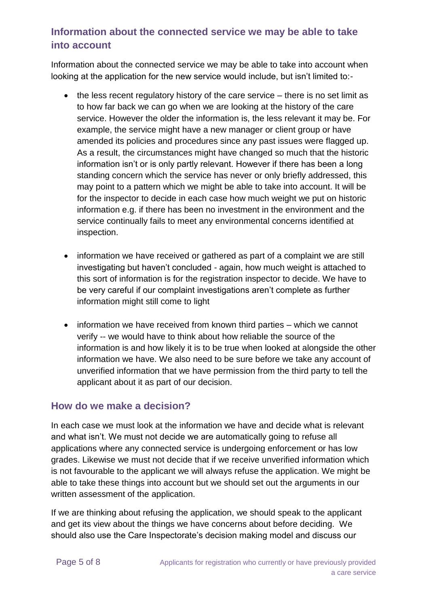# **Information about the connected service we may be able to take into account**

Information about the connected service we may be able to take into account when looking at the application for the new service would include, but isn't limited to:-

- $\bullet$  the less recent regulatory history of the care service there is no set limit as to how far back we can go when we are looking at the history of the care service. However the older the information is, the less relevant it may be. For example, the service might have a new manager or client group or have amended its policies and procedures since any past issues were flagged up. As a result, the circumstances might have changed so much that the historic information isn't or is only partly relevant. However if there has been a long standing concern which the service has never or only briefly addressed, this may point to a pattern which we might be able to take into account. It will be for the inspector to decide in each case how much weight we put on historic information e.g. if there has been no investment in the environment and the service continually fails to meet any environmental concerns identified at inspection.
- information we have received or gathered as part of a complaint we are still investigating but haven't concluded - again, how much weight is attached to this sort of information is for the registration inspector to decide. We have to be very careful if our complaint investigations aren't complete as further information might still come to light
- information we have received from known third parties which we cannot verify -- we would have to think about how reliable the source of the information is and how likely it is to be true when looked at alongside the other information we have. We also need to be sure before we take any account of unverified information that we have permission from the third party to tell the applicant about it as part of our decision.

#### **How do we make a decision?**

In each case we must look at the information we have and decide what is relevant and what isn't. We must not decide we are automatically going to refuse all applications where any connected service is undergoing enforcement or has low grades. Likewise we must not decide that if we receive unverified information which is not favourable to the applicant we will always refuse the application. We might be able to take these things into account but we should set out the arguments in our written assessment of the application.

If we are thinking about refusing the application, we should speak to the applicant and get its view about the things we have concerns about before deciding. We should also use the Care Inspectorate's decision making model and discuss our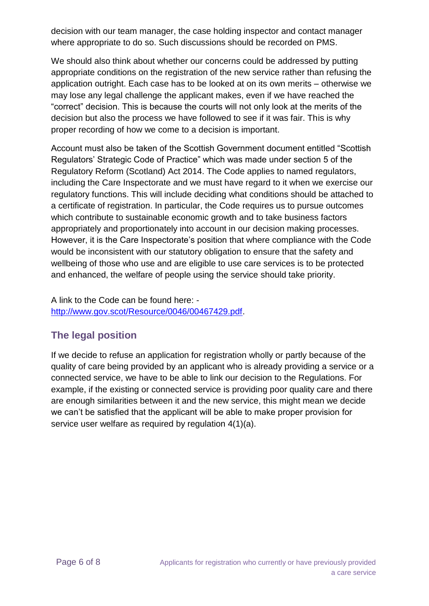decision with our team manager, the case holding inspector and contact manager where appropriate to do so. Such discussions should be recorded on PMS.

We should also think about whether our concerns could be addressed by putting appropriate conditions on the registration of the new service rather than refusing the application outright. Each case has to be looked at on its own merits – otherwise we may lose any legal challenge the applicant makes, even if we have reached the "correct" decision. This is because the courts will not only look at the merits of the decision but also the process we have followed to see if it was fair. This is why proper recording of how we come to a decision is important.

Account must also be taken of the Scottish Government document entitled "Scottish Regulators' Strategic Code of Practice" which was made under section 5 of the Regulatory Reform (Scotland) Act 2014. The Code applies to named regulators, including the Care Inspectorate and we must have regard to it when we exercise our regulatory functions. This will include deciding what conditions should be attached to a certificate of registration. In particular, the Code requires us to pursue outcomes which contribute to sustainable economic growth and to take business factors appropriately and proportionately into account in our decision making processes. However, it is the Care Inspectorate's position that where compliance with the Code would be inconsistent with our statutory obligation to ensure that the safety and wellbeing of those who use and are eligible to use care services is to be protected and enhanced, the welfare of people using the service should take priority.

A link to the Code can be found here: [http://www.gov.scot/Resource/0046/00467429.pdf.](http://www.gov.scot/Resource/0046/00467429.pdf)

# **The legal position**

If we decide to refuse an application for registration wholly or partly because of the quality of care being provided by an applicant who is already providing a service or a connected service, we have to be able to link our decision to the Regulations. For example, if the existing or connected service is providing poor quality care and there are enough similarities between it and the new service, this might mean we decide we can't be satisfied that the applicant will be able to make proper provision for service user welfare as required by regulation 4(1)(a).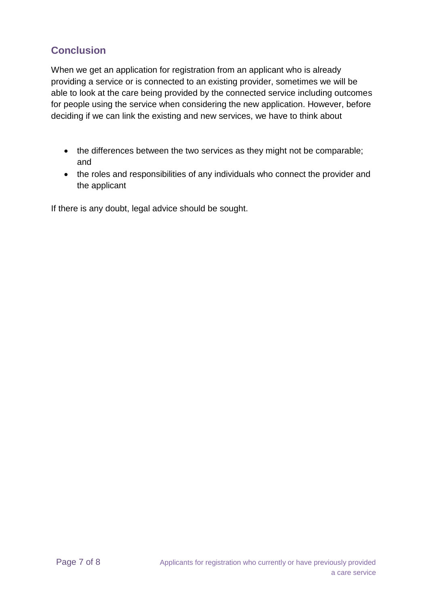# **Conclusion**

When we get an application for registration from an applicant who is already providing a service or is connected to an existing provider, sometimes we will be able to look at the care being provided by the connected service including outcomes for people using the service when considering the new application. However, before deciding if we can link the existing and new services, we have to think about

- the differences between the two services as they might not be comparable; and
- the roles and responsibilities of any individuals who connect the provider and the applicant

If there is any doubt, legal advice should be sought.